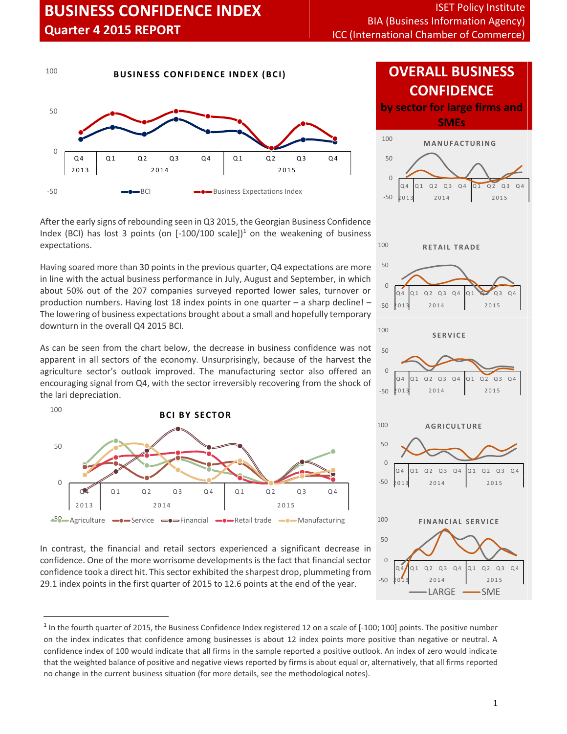

After the early signs of rebounding seen in Q3 2015, the Georgian Business Confidence Index (BCI) has lost 3 points (on  $[-100/100 \text{ scale}]]^1$  on the weakening of business expectations.

Having soared more than 30 points in the previous quarter, Q4 expectations are more in line with the actual business performance in July, August and September, in which about 50% out of the 207 companies surveyed reported lower sales, turnover or production numbers. Having lost 18 index points in one quarter – a sharp decline! –  $\frac{1}{200}$   $\frac{1}{201}$ The lowering of business expectations brought about a small and hopefully temporary downturn in the overall Q4 2015 BCI.

As can be seen from the chart below, the decrease in business confidence was not apparent in all sectors of the economy. Unsurprisingly, because of the harvest the agriculture sector's outlook improved. The manufacturing sector also offered an  $\circ$ encouraging signal from Q4, with the sector irreversibly recovering from the shock of the lari depreciation. **B EXECUTE:** Hostingly, because of mproved. The manufacturing sector<br>th the sector irreversibly recovering<br>**B CI BY SECTOR** 





In contrast, the financial and retail sectors experienced a significant decrease in confidence. One of the more worrisome developments is the fact that financial sector  $\frac{1}{\sqrt{2}}$ confidence took a direct hit. This sector exhibited the sharpest drop, plummeting from  $\int_{-50}^{\frac{\alpha}{4}} \int_{2014}^{\alpha_1} \frac{\alpha_2}{2}$ 29.1 index points in the first quarter of 2015 to 12.6 points at the end of the year.

## **OVERALL BUSINESS CONFIDENCE**

**by sector for large firms and SMEs**



 $^1$  In the fourth quarter of 2015, the Business Confidence Index registered 12 on a scale of [-100; 100] points. The positive number on the index indicates that confidence among businesses is about 12 index points more positive than negative or neutral. A confidence index of 100 would indicate that all firms in the sample reported a positive outlook. An index of zero would indicate that the weighted balance of positive and negative views reported by firms is about equal or, alternatively, that all firms reported no change in the current business situation (for more details, see the methodological notes).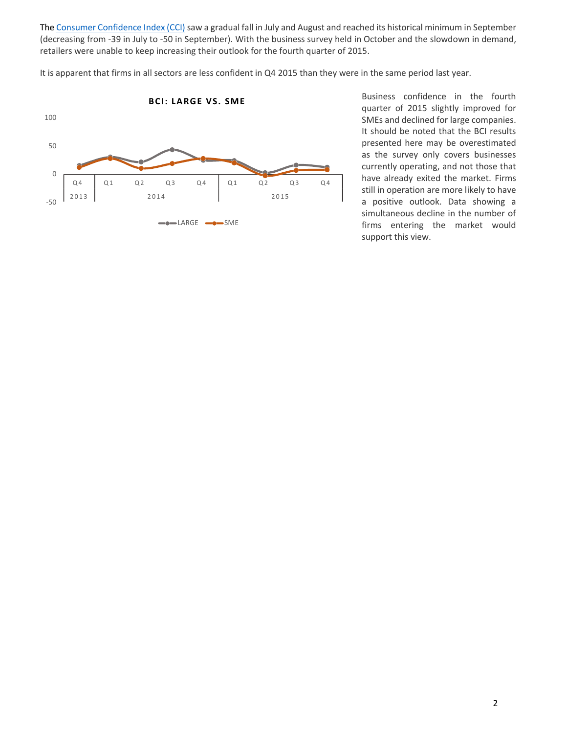The Consumer Confidence Index (CCI) saw a gradual fall in July and August and reached its historical minimum in September<br>All the Consumer Confidence Index (CCI) saw a gradual fall in July and August and reached its histor (decreasing from -39 in July to -50 in September). With the business survey held in October and the slowdown in demand,

It is apparent that firms in all sectors are less confident in Q4 2015 than they were in the same period last year.



Business confidence in the fourth quarter of 2015 slightly improved for SMEs and declined for large companies. It should be noted that the BCI results presented here may be overestimated as the survey only covers businesses currently operating, and not those that have already exited the market. Firms still in operation are more likely to have a positive outlook. Data showing a simultaneous decline in the number of firms entering the market would support this view.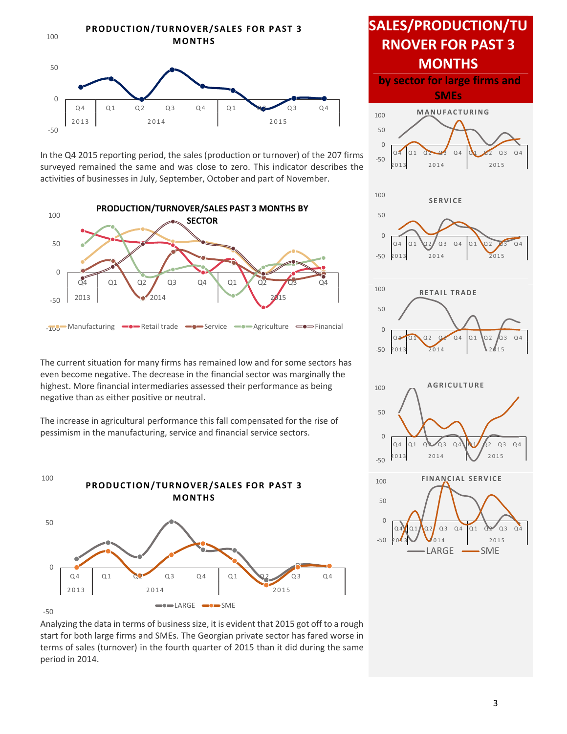

In the Q4 2015 reporting period, the sales (production or turnover) of the 207 firms surveyed remained the same and was close to zero. This indicator describes the activities of businesses in July, September, October and part of November.



The current situation for many firms has remained low and for some sectors has even become negative. The decrease in the financial sector was marginally the highest. More financial intermediaries assessed their performance as being negative than as either positive or neutral.

The increase in agricultural performance this fall compensated forthe rise of pessimism in the manufacturing, service and financial service sectors.



#### -50

Analyzing the data in terms of business size, it is evident that 2015 got off to a rough start for both large firms and SMEs. The Georgian private sector has fared worse in terms of sales (turnover) in the fourth quarter of 2015 than it did during the same period in 2014.

# **SALES/PRODUCTION/TU RNOVER FOR PAST 3 MONTHS**

**by sector for large firms and SMEs**

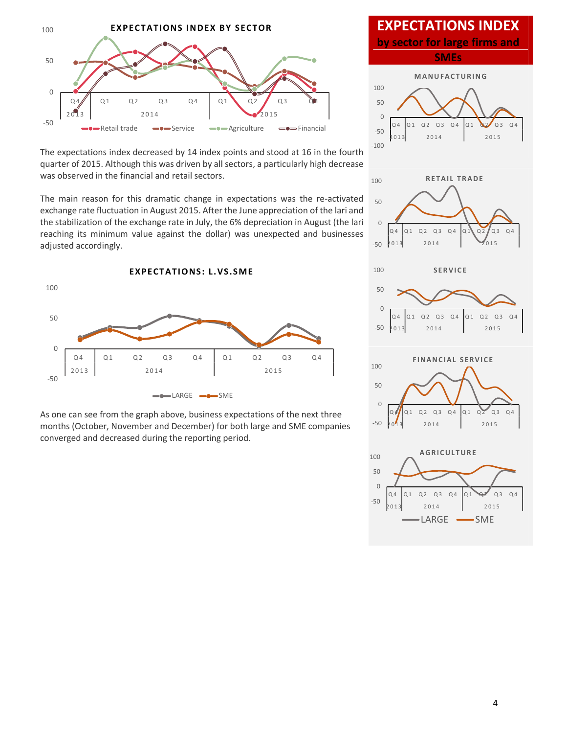

The expectations index decreased by 14 index points and stood at 16 in the fourth quarter of 2015. Although this was driven by all sectors, a particularly high decrease was observed in the financial and retail sectors.

The main reason for this dramatic change in expectations was the re-activated exchange rate fluctuation in August 2015. After the June appreciation of the lari and the stabilization of the exchange rate in July, the 6% depreciation in August (the lari reaching its minimum value against the dollar) was unexpected and businesses adjusted accordingly. on in August 2015. After the June appreciation of exchange rate in July, the 6% depreciation in August value against the dollar) was unexpected and<br>**EXPECTATIONS: L.VS.SME** 



As one can see from the graph above, business expectations of the next three months (October, November and December) for both large and SME companies converged and decreased during the reporting period.

### **EXPECTATIONS INDEX**

**by sector for large firms and SMEs**

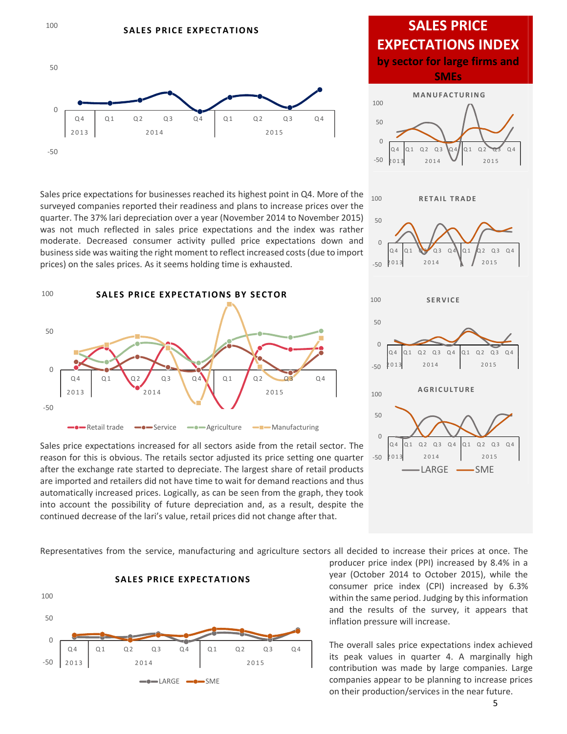

Sales price expectations for businesses reached its highest point in Q4. More of the surveyed companies reported their readiness and plans to increase prices over the quarter. The 37% lari depreciation over a year (November 2014 to November 2015) was not much reflected in sales price expectations and the index was rather business side was waiting the right moment to reflect increased costs (due to import prices) on the sales prices. As it seems holding time is exhausted.



Sales price expectations increased for all sectors aside from the retail sector. The  $\sqrt{a^4}$ reason for this is obvious. The retails sector adjusted its price setting one quarter after the exchange rate started to depreciate. The largest share of retail products are imported and retailers did not have time to wait for demand reactions and thus automatically increased prices. Logically, as can be seen from the graph, they took into account the possibility of future depreciation and, as a result, despite the continued decrease of the lari's value, retail prices did not change after that.

**by sector for large firms and SMEs**  $-50$   $p_{01}$  $^{\circ}$ 50 100  $Q_4$   $Q_1$   $Q_2$   $Q_3$   $Q_4$   $Q_1$   $Q_2$   $Q_3$   $Q_4$ 2 0 1 3 2 0 1 4 2 0 1 5 **CTATIONS INDEX**<br>
or for large firms and<br>
SMES<br>
MANUFACTURING  $-50$  2013  $\circ$   $\rightarrow$ 50 100  $Q_4$   $Q_1$   $Q_2$   $Q_3$   $Q_4$   $Q_1$   $Q_2$   $Q_3$   $Q_4$  $\begin{array}{|c|c|c|}\n\hline\n04 & 01 & 03 & 04 & 01 & 02 & 03 & 04 \\
\hline\n2013 & 2014 & 2015 & & & \n\end{array}$  $R$  **ETAIL TRADE**  $-50^{2013}$  $\circ$   $\rightarrow$ 50 100  $Q_4$   $Q_1$   $Q_2$   $Q_3$   $Q_4$   $Q_1$   $Q_2$   $Q_3$   $Q_4$ <br> $Q_1$   $Q_2$   $Q_3$   $Q_4$ 0 4 0 1 0 2 0 3 0 4 0 1 0 2 0 3 0 4  $\begin{bmatrix} 0.3 & 0.4 \\ 0.14 & 2015 \end{bmatrix}$ <br> **SERVICE**  $-50$  2013  $0 \rightarrow$ 50 100  $\bigotimes_{\alpha_4 \atop \alpha_1 \alpha_2 \atop \alpha_2 \alpha_3 \alpha_4} \bigotimes_{\alpha_5 \atop \alpha_6 \alpha_7 \alpha_8 \alpha_4}$  $\begin{array}{r|l}\n\hline\n\text{Q4}\n\hline\nQ1\ Q2\ Q3\ Q4\n\hline\n2014\n\end{array}\n\qquad\n\begin{array}{r|l}\n\hline\nQ1\ Q2\ Q3\ Q4\n\hline\n2015\n\end{array}$ Q 2 0 3 0 4 0 1 0 2 0 3 0 4<br>
2014 2015<br>
A GRICULTURE LARGE -SME

**SALES PRICE**

**EXPECTATIONS INDEX**

Representatives from the service, manufacturing and agriculture sectors all decided to increase their prices at once. The



producer price index (PPI) increased by 8.4% in a year (October 2014 to October 2015), while the consumer price index (CPI) increased by 6.3% within the same period. Judging by this information and the results of the survey, it appears that inflation pressure will increase.

The overall sales price expectations index achieved its peak values in quarter 4. A marginally high contribution was made by large companies. Large companies appear to be planning to increase prices on their production/services in the near future.

100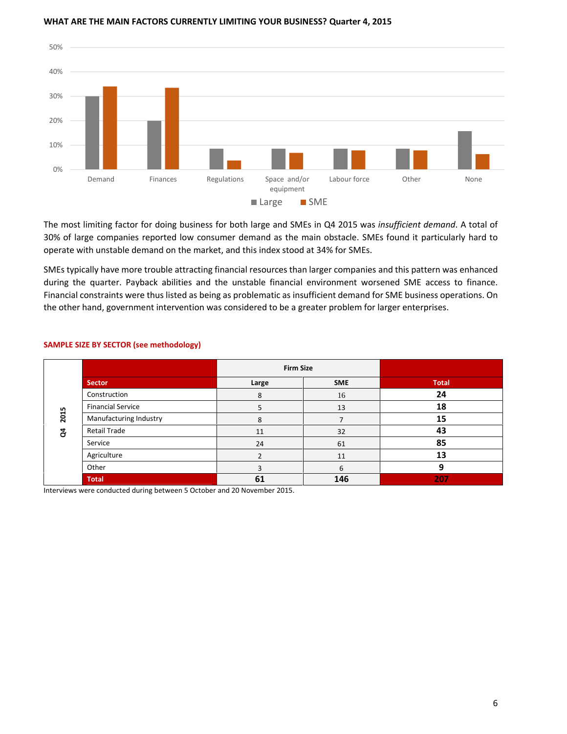

#### **WHAT ARE THE MAIN FACTORS CURRENTLY LIMITING YOUR BUSINESS? Quarter 4, 2015**

The most limiting factor for doing business for both large and SMEs in Q4 2015 was *insufficient demand*. A total of 30% of large companies reported low consumer demand as the main obstacle. SMEs found it particularly hard to operate with unstable demand on the market, and this index stood at 34% for SMEs.

SMEs typically have more trouble attracting financial resources than larger companies and this pattern was enhanced during the quarter. Payback abilities and the unstable financial environment worsened SME access to finance. Financial constraints were thus listed as being as problematic as insufficient demand for SME business operations. On the other hand, government intervention was considered to be a greater problem for larger enterprises.

|           |                          | <b>Firm Size</b> |            |              |
|-----------|--------------------------|------------------|------------|--------------|
|           | <b>Sector</b>            | Large            | <b>SME</b> | <b>Total</b> |
| 2015<br>g | Construction             | 8                | 16         | 24           |
|           | <b>Financial Service</b> | 5                | 13         | 18           |
|           | Manufacturing Industry   | 8                |            | 15           |
|           | Retail Trade             | 11               | 32         | 43           |
|           | Service                  | 24               | 61         | 85           |
|           | Agriculture              |                  | 11         | 13           |
|           | Other                    |                  | 6          | 9            |
|           | <b>Total</b>             | 61               | 146        | 207          |

#### **SAMPLE SIZE BY SECTOR (see methodology)**

Interviews were conducted during between 5 October and 20 November 2015.